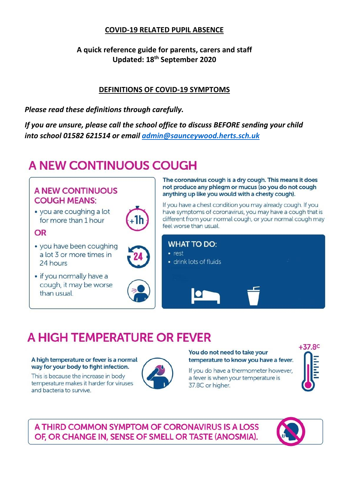## **COVID-19 RELATED PUPIL ABSENCE**

**A quick reference guide for parents, carers and staff Updated: 18th September 2020**

## **DEFINITIONS OF COVID-19 SYMPTOMS**

*Please read these definitions through carefully.* 

*If you are unsure, please call the school office to discuss BEFORE sending your child into school 01582 621514 or email [admin@saunceywood.herts.sch.uk](mailto:admin@saunceywood.herts.sch.uk)*

# **A NEW CONTINUOUS COUGH**

# **A NEW CONTINUOUS COUGH MEANS:**

· you are coughing a lot for more than 1 hour

### OR

- you have been coughing a lot 3 or more times in 24 hours
- if you normally have a cough, it may be worse than usual.



The coronavirus cough is a dry cough. This means it does not produce any phlegm or mucus (so you do not cough anything up like you would with a chesty cough).

If you have a chest condition you may already cough. If you have symptoms of coronavirus, you may have a cough that is different from your normal cough, or your normal cough may feel worse than usual.



# A HIGH TEMPERATURE OR FEVER

#### A high temperature or fever is a normal way for your body to fight infection.

This is because the increase in body temperature makes it harder for viruses and bacteria to survive.



#### You do not need to take your temperature to know you have a fever.

If you do have a thermometer however, a fever is when your temperature is 37.8C or higher.

|  | ۹ |
|--|---|
|  |   |
|  |   |
|  | ÷ |
|  |   |
|  |   |

A THIRD COMMON SYMPTOM OF CORONAVIRUS IS A LOSS OF, OR CHANGE IN, SENSE OF SMELL OR TASTE (ANOSMIA).

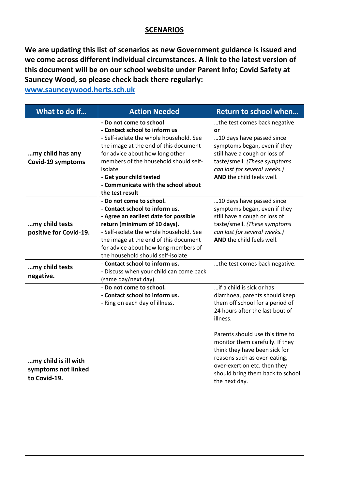#### **SCENARIOS**

**We are updating this list of scenarios as new Government guidance is issued and we come across different individual circumstances. A link to the latest version of this document will be on our school website under Parent Info; Covid Safety at Sauncey Wood, so please check back there regularly:**

**[www.saunceywood.herts.sch.uk](http://www.saunceywood.herts.sch.uk/)**

| What to do if                                               | <b>Action Needed</b>                                                                                                                                                                                                                                                                                                     | Return to school when                                                                                                                                                                                                                                                                                                                                                     |
|-------------------------------------------------------------|--------------------------------------------------------------------------------------------------------------------------------------------------------------------------------------------------------------------------------------------------------------------------------------------------------------------------|---------------------------------------------------------------------------------------------------------------------------------------------------------------------------------------------------------------------------------------------------------------------------------------------------------------------------------------------------------------------------|
| my child has any<br>Covid-19 symptoms                       | - Do not come to school<br>- Contact school to inform us<br>- Self-isolate the whole household. See<br>the image at the end of this document<br>for advice about how long other<br>members of the household should self-<br>isolate<br>- Get your child tested<br>- Communicate with the school about<br>the test result | the test comes back negative<br>or<br>10 days have passed since<br>symptoms began, even if they<br>still have a cough or loss of<br>taste/smell. (These symptoms<br>can last for several weeks.)<br>AND the child feels well.                                                                                                                                             |
| my child tests<br>positive for Covid-19.                    | - Do not come to school.<br>- Contact school to inform us.<br>- Agree an earliest date for possible<br>return (minimum of 10 days).<br>- Self-isolate the whole household. See<br>the image at the end of this document<br>for advice about how long members of<br>the household should self-isolate                     | 10 days have passed since<br>symptoms began, even if they<br>still have a cough or loss of<br>taste/smell. (These symptoms<br>can last for several weeks.)<br>AND the child feels well.                                                                                                                                                                                   |
| my child tests<br>negative.                                 | - Contact school to inform us.<br>- Discuss when your child can come back<br>(same day/next day).                                                                                                                                                                                                                        | the test comes back negative.                                                                                                                                                                                                                                                                                                                                             |
| my child is ill with<br>symptoms not linked<br>to Covid-19. | - Do not come to school.<br>- Contact school to inform us.<br>- Ring on each day of illness.                                                                                                                                                                                                                             | if a child is sick or has<br>diarrhoea, parents should keep<br>them off school for a period of<br>24 hours after the last bout of<br>illness.<br>Parents should use this time to<br>monitor them carefully. If they<br>think they have been sick for<br>reasons such as over-eating,<br>over-exertion etc. then they<br>should bring them back to school<br>the next day. |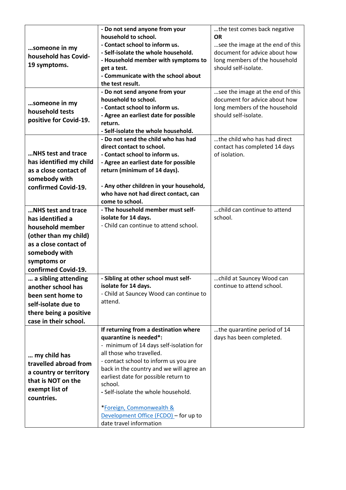| someone in my<br>household has Covid-<br>19 symptoms.<br>someone in my<br>household tests                                                                           | - Do not send anyone from your<br>household to school.<br>- Contact school to inform us.<br>- Self-isolate the whole household.<br>- Household member with symptoms to<br>get a test.<br>- Communicate with the school about<br>the test result.<br>- Do not send anyone from your<br>household to school.<br>- Contact school to inform us.<br>- Agree an earliest date for possible                                 | the test comes back negative<br>ΟR<br>see the image at the end of this<br>document for advice about how<br>long members of the household<br>should self-isolate.<br>see the image at the end of this<br>document for advice about how<br>long members of the household<br>should self-isolate. |
|---------------------------------------------------------------------------------------------------------------------------------------------------------------------|-----------------------------------------------------------------------------------------------------------------------------------------------------------------------------------------------------------------------------------------------------------------------------------------------------------------------------------------------------------------------------------------------------------------------|------------------------------------------------------------------------------------------------------------------------------------------------------------------------------------------------------------------------------------------------------------------------------------------------|
| positive for Covid-19.                                                                                                                                              | return.<br>- Self-isolate the whole household.                                                                                                                                                                                                                                                                                                                                                                        |                                                                                                                                                                                                                                                                                                |
| <b>NHS test and trace</b><br>has identified my child<br>as a close contact of<br>somebody with<br>confirmed Covid-19.                                               | - Do not send the child who has had<br>direct contact to school.<br>- Contact school to inform us.<br>- Agree an earliest date for possible<br>return (minimum of 14 days).<br>- Any other children in your household,<br>who have not had direct contact, can<br>come to school.                                                                                                                                     | the child who has had direct<br>contact has completed 14 days<br>of isolation.                                                                                                                                                                                                                 |
| NHS test and trace<br>has identified a<br>household member<br>(other than my child)<br>as a close contact of<br>somebody with<br>symptoms or<br>confirmed Covid-19. | - The household member must self-<br>isolate for 14 days.<br>- Child can continue to attend school.                                                                                                                                                                                                                                                                                                                   | child can continue to attend<br>school.                                                                                                                                                                                                                                                        |
| a sibling attending<br>another school has<br>been sent home to<br>self-isolate due to<br>there being a positive<br>case in their school.                            | - Sibling at other school must self-<br>isolate for 14 days.<br>- Child at Sauncey Wood can continue to<br>attend.                                                                                                                                                                                                                                                                                                    | child at Sauncey Wood can<br>continue to attend school.                                                                                                                                                                                                                                        |
| my child has<br>travelled abroad from<br>a country or territory<br>that is NOT on the<br>exempt list of<br>countries.                                               | If returning from a destination where<br>quarantine is needed*:<br>- minimum of 14 days self-isolation for<br>all those who travelled.<br>- contact school to inform us you are<br>back in the country and we will agree an<br>earliest date for possible return to<br>school.<br>- Self-isolate the whole household.<br>*Foreign, Commonwealth &<br>Development Office (FCDO) - for up to<br>date travel information | the quarantine period of 14<br>days has been completed.                                                                                                                                                                                                                                        |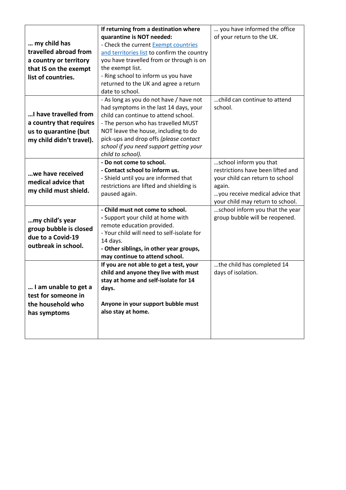|                          | If returning from a destination where                                     | you have informed the office      |  |  |
|--------------------------|---------------------------------------------------------------------------|-----------------------------------|--|--|
|                          | quarantine is NOT needed:                                                 | of your return to the UK.         |  |  |
| my child has             | - Check the current Exempt countries                                      |                                   |  |  |
| travelled abroad from    | and territories list to confirm the country                               |                                   |  |  |
| a country or territory   | you have travelled from or through is on                                  |                                   |  |  |
| that IS on the exempt    | the exempt list.                                                          |                                   |  |  |
| list of countries.       | - Ring school to inform us you have                                       |                                   |  |  |
|                          | returned to the UK and agree a return                                     |                                   |  |  |
|                          | date to school.                                                           |                                   |  |  |
|                          | - As long as you do not have / have not                                   | child can continue to attend      |  |  |
|                          | had symptoms in the last 14 days, your                                    | school.                           |  |  |
| I have travelled from    | child can continue to attend school.                                      |                                   |  |  |
| a country that requires  | - The person who has travelled MUST                                       |                                   |  |  |
| us to quarantine (but    | NOT leave the house, including to do                                      |                                   |  |  |
| my child didn't travel). | pick-ups and drop offs (please contact                                    |                                   |  |  |
|                          | school if you need support getting your                                   |                                   |  |  |
|                          | child to school).                                                         |                                   |  |  |
|                          | - Do not come to school.                                                  | school inform you that            |  |  |
| we have received         | - Contact school to inform us.                                            | restrictions have been lifted and |  |  |
| medical advice that      | - Shield until you are informed that                                      | your child can return to school   |  |  |
| my child must shield.    | restrictions are lifted and shielding is                                  | again.                            |  |  |
|                          | paused again.                                                             | you receive medical advice that   |  |  |
|                          |                                                                           | your child may return to school.  |  |  |
|                          | - Child must not come to school.                                          | school inform you that the year   |  |  |
| my child's year          | - Support your child at home with                                         | group bubble will be reopened.    |  |  |
| group bubble is closed   | remote education provided.                                                |                                   |  |  |
| due to a Covid-19        | - Your child will need to self-isolate for                                |                                   |  |  |
| outbreak in school.      | 14 days.                                                                  |                                   |  |  |
|                          | - Other siblings, in other year groups,<br>may continue to attend school. |                                   |  |  |
|                          | If you are not able to get a test, your                                   | the child has completed 14        |  |  |
|                          | child and anyone they live with must                                      | days of isolation.                |  |  |
|                          | stay at home and self-isolate for 14                                      |                                   |  |  |
| I am unable to get a     | days.                                                                     |                                   |  |  |
| test for someone in      |                                                                           |                                   |  |  |
| the household who        | Anyone in your support bubble must                                        |                                   |  |  |
| has symptoms             | also stay at home.                                                        |                                   |  |  |
|                          |                                                                           |                                   |  |  |
|                          |                                                                           |                                   |  |  |
|                          |                                                                           |                                   |  |  |